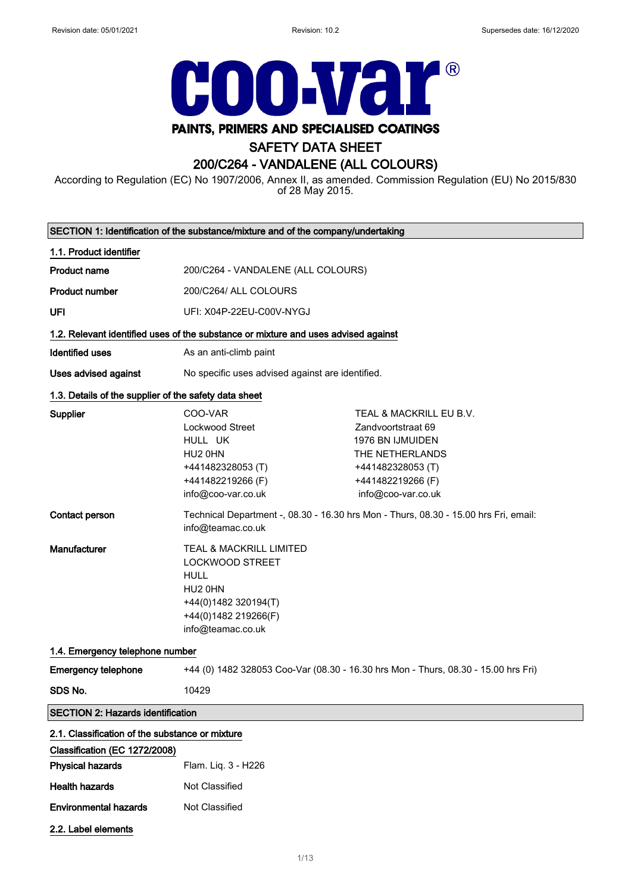2.2. Label elements



# SAFETY DATA SHEET

# 200/C264 - VANDALENE (ALL COLOURS)

According to Regulation (EC) No 1907/2006, Annex II, as amended. Commission Regulation (EU) No 2015/830 of 28 May 2015.

|                                                          | SECTION 1: Identification of the substance/mixture and of the company/undertaking                                                                |                                                                                                                                                             |
|----------------------------------------------------------|--------------------------------------------------------------------------------------------------------------------------------------------------|-------------------------------------------------------------------------------------------------------------------------------------------------------------|
| 1.1. Product identifier                                  |                                                                                                                                                  |                                                                                                                                                             |
| <b>Product name</b>                                      | 200/C264 - VANDALENE (ALL COLOURS)                                                                                                               |                                                                                                                                                             |
| <b>Product number</b>                                    | 200/C264/ ALL COLOURS                                                                                                                            |                                                                                                                                                             |
| UFI                                                      | UFI: X04P-22EU-C00V-NYGJ                                                                                                                         |                                                                                                                                                             |
|                                                          | 1.2. Relevant identified uses of the substance or mixture and uses advised against                                                               |                                                                                                                                                             |
| <b>Identified uses</b>                                   | As an anti-climb paint                                                                                                                           |                                                                                                                                                             |
| Uses advised against                                     | No specific uses advised against are identified.                                                                                                 |                                                                                                                                                             |
| 1.3. Details of the supplier of the safety data sheet    |                                                                                                                                                  |                                                                                                                                                             |
| Supplier                                                 | COO-VAR<br>Lockwood Street<br>HULL UK<br>HU2 0HN<br>+441482328053 (T)<br>+441482219266 (F)<br>info@coo-var.co.uk                                 | TEAL & MACKRILL EU B.V.<br>Zandvoortstraat 69<br><b>1976 BN IJMUIDEN</b><br>THE NETHERLANDS<br>+441482328053 (T)<br>+441482219266 (F)<br>info@coo-var.co.uk |
| <b>Contact person</b>                                    | info@teamac.co.uk                                                                                                                                | Technical Department -, 08.30 - 16.30 hrs Mon - Thurs, 08.30 - 15.00 hrs Fri, email:                                                                        |
| Manufacturer                                             | TEAL & MACKRILL LIMITED<br><b>LOCKWOOD STREET</b><br><b>HULL</b><br>HU2 0HN<br>+44(0)1482 320194(T)<br>+44(0)1482 219266(F)<br>info@teamac.co.uk |                                                                                                                                                             |
| 1.4. Emergency telephone number                          |                                                                                                                                                  |                                                                                                                                                             |
| <b>Emergency telephone</b>                               |                                                                                                                                                  | +44 (0) 1482 328053 Coo-Var (08.30 - 16.30 hrs Mon - Thurs, 08.30 - 15.00 hrs Fri)                                                                          |
| SDS No.                                                  | 10429                                                                                                                                            |                                                                                                                                                             |
| <b>SECTION 2: Hazards identification</b>                 |                                                                                                                                                  |                                                                                                                                                             |
| 2.1. Classification of the substance or mixture          |                                                                                                                                                  |                                                                                                                                                             |
| Classification (EC 1272/2008)<br><b>Physical hazards</b> | Flam. Liq. 3 - H226                                                                                                                              |                                                                                                                                                             |
| <b>Health hazards</b>                                    | Not Classified                                                                                                                                   |                                                                                                                                                             |
| <b>Environmental hazards</b>                             | Not Classified                                                                                                                                   |                                                                                                                                                             |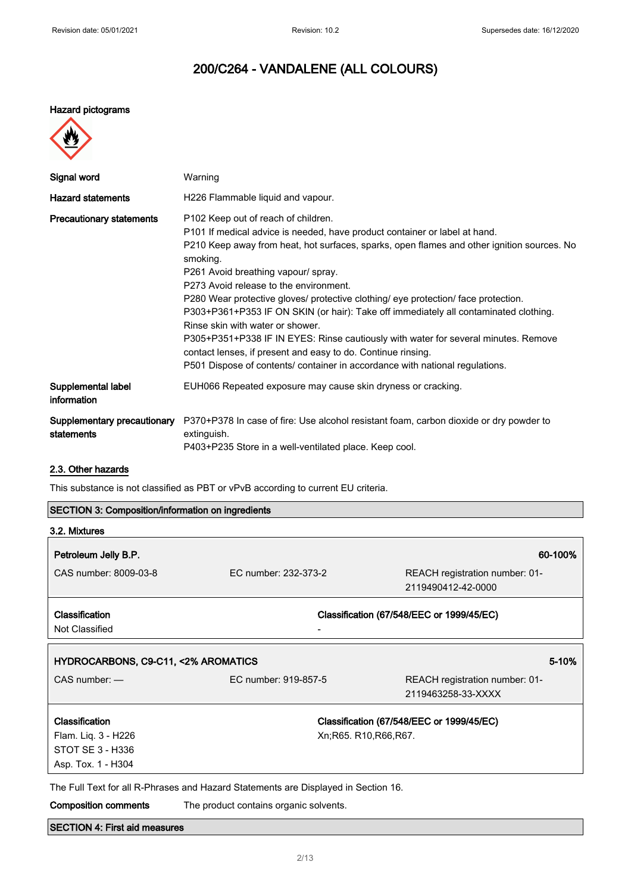#### Hazard pictograms



| Signal word                               | Warning                                                                                                                                                                                                                                                                                                                                                                                                                                                                                                                                                                                                                                                                                                                                                              |
|-------------------------------------------|----------------------------------------------------------------------------------------------------------------------------------------------------------------------------------------------------------------------------------------------------------------------------------------------------------------------------------------------------------------------------------------------------------------------------------------------------------------------------------------------------------------------------------------------------------------------------------------------------------------------------------------------------------------------------------------------------------------------------------------------------------------------|
| <b>Hazard statements</b>                  | H226 Flammable liquid and vapour.                                                                                                                                                                                                                                                                                                                                                                                                                                                                                                                                                                                                                                                                                                                                    |
| <b>Precautionary statements</b>           | P102 Keep out of reach of children.<br>P101 If medical advice is needed, have product container or label at hand.<br>P210 Keep away from heat, hot surfaces, sparks, open flames and other ignition sources. No<br>smoking.<br>P261 Avoid breathing vapour/ spray.<br>P273 Avoid release to the environment.<br>P280 Wear protective gloves/ protective clothing/ eye protection/ face protection.<br>P303+P361+P353 IF ON SKIN (or hair): Take off immediately all contaminated clothing.<br>Rinse skin with water or shower.<br>P305+P351+P338 IF IN EYES: Rinse cautiously with water for several minutes. Remove<br>contact lenses, if present and easy to do. Continue rinsing.<br>P501 Dispose of contents/ container in accordance with national regulations. |
| Supplemental label<br>information         | EUH066 Repeated exposure may cause skin dryness or cracking.                                                                                                                                                                                                                                                                                                                                                                                                                                                                                                                                                                                                                                                                                                         |
| Supplementary precautionary<br>statements | P370+P378 In case of fire: Use alcohol resistant foam, carbon dioxide or dry powder to<br>extinguish.<br>P403+P235 Store in a well-ventilated place. Keep cool.                                                                                                                                                                                                                                                                                                                                                                                                                                                                                                                                                                                                      |

# 2.3. Other hazards

This substance is not classified as PBT or vPvB according to current EU criteria.

| <b>SECTION 3: Composition/information on ingredients</b> |  |  |
|----------------------------------------------------------|--|--|
|----------------------------------------------------------|--|--|

| 3.2. Mixtures                           |                                                                                    |                                                      |
|-----------------------------------------|------------------------------------------------------------------------------------|------------------------------------------------------|
| Petroleum Jelly B.P.                    |                                                                                    | 60-100%                                              |
| CAS number: 8009-03-8                   | FC number: 232-373-2                                                               | REACH registration number: 01-<br>2119490412-42-0000 |
| <b>Classification</b><br>Not Classified |                                                                                    | Classification (67/548/EEC or 1999/45/EC)            |
| HYDROCARBONS, C9-C11, <2% AROMATICS     |                                                                                    | 5-10%                                                |
| $CAS$ number: $-$                       | EC number: 919-857-5                                                               | REACH registration number: 01-<br>2119463258-33-XXXX |
| Classification                          |                                                                                    | Classification (67/548/EEC or 1999/45/EC)            |
| Flam. Liq. 3 - H226<br>STOT SE 3 - H336 |                                                                                    | Xn; R65. R10, R66, R67.                              |
| Asp. Tox. 1 - H304                      |                                                                                    |                                                      |
|                                         | The Full Text for all R-Phrases and Hazard Statements are Displayed in Section 16. |                                                      |
| <b>Composition comments</b>             | The product contains organic solvents.                                             |                                                      |

# SECTION 4: First aid measures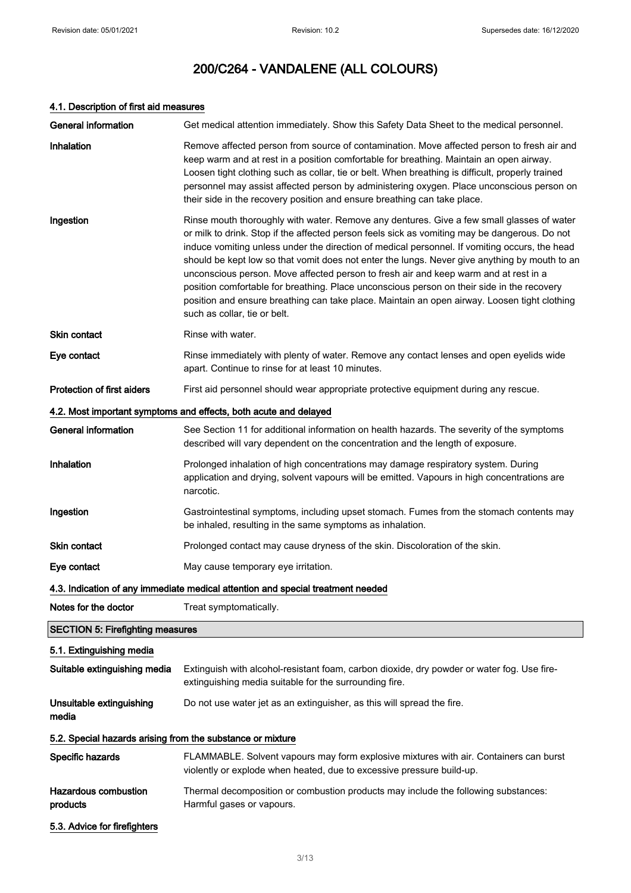# 4.1. Description of first aid measures

| <b>General information</b>                                 | Get medical attention immediately. Show this Safety Data Sheet to the medical personnel.                                                                                                                                                                                                                                                                                                                                                                                                                                                                                                                                                                                                                           |
|------------------------------------------------------------|--------------------------------------------------------------------------------------------------------------------------------------------------------------------------------------------------------------------------------------------------------------------------------------------------------------------------------------------------------------------------------------------------------------------------------------------------------------------------------------------------------------------------------------------------------------------------------------------------------------------------------------------------------------------------------------------------------------------|
| <b>Inhalation</b>                                          | Remove affected person from source of contamination. Move affected person to fresh air and<br>keep warm and at rest in a position comfortable for breathing. Maintain an open airway.<br>Loosen tight clothing such as collar, tie or belt. When breathing is difficult, properly trained<br>personnel may assist affected person by administering oxygen. Place unconscious person on<br>their side in the recovery position and ensure breathing can take place.                                                                                                                                                                                                                                                 |
| Ingestion                                                  | Rinse mouth thoroughly with water. Remove any dentures. Give a few small glasses of water<br>or milk to drink. Stop if the affected person feels sick as vomiting may be dangerous. Do not<br>induce vomiting unless under the direction of medical personnel. If vomiting occurs, the head<br>should be kept low so that vomit does not enter the lungs. Never give anything by mouth to an<br>unconscious person. Move affected person to fresh air and keep warm and at rest in a<br>position comfortable for breathing. Place unconscious person on their side in the recovery<br>position and ensure breathing can take place. Maintain an open airway. Loosen tight clothing<br>such as collar, tie or belt. |
| Skin contact                                               | Rinse with water.                                                                                                                                                                                                                                                                                                                                                                                                                                                                                                                                                                                                                                                                                                  |
| Eye contact                                                | Rinse immediately with plenty of water. Remove any contact lenses and open eyelids wide<br>apart. Continue to rinse for at least 10 minutes.                                                                                                                                                                                                                                                                                                                                                                                                                                                                                                                                                                       |
| Protection of first aiders                                 | First aid personnel should wear appropriate protective equipment during any rescue.                                                                                                                                                                                                                                                                                                                                                                                                                                                                                                                                                                                                                                |
|                                                            | 4.2. Most important symptoms and effects, both acute and delayed                                                                                                                                                                                                                                                                                                                                                                                                                                                                                                                                                                                                                                                   |
| <b>General information</b>                                 | See Section 11 for additional information on health hazards. The severity of the symptoms<br>described will vary dependent on the concentration and the length of exposure.                                                                                                                                                                                                                                                                                                                                                                                                                                                                                                                                        |
| Inhalation                                                 | Prolonged inhalation of high concentrations may damage respiratory system. During<br>application and drying, solvent vapours will be emitted. Vapours in high concentrations are<br>narcotic.                                                                                                                                                                                                                                                                                                                                                                                                                                                                                                                      |
| Ingestion                                                  | Gastrointestinal symptoms, including upset stomach. Fumes from the stomach contents may<br>be inhaled, resulting in the same symptoms as inhalation.                                                                                                                                                                                                                                                                                                                                                                                                                                                                                                                                                               |
| Skin contact                                               | Prolonged contact may cause dryness of the skin. Discoloration of the skin.                                                                                                                                                                                                                                                                                                                                                                                                                                                                                                                                                                                                                                        |
| Eye contact                                                | May cause temporary eye irritation.                                                                                                                                                                                                                                                                                                                                                                                                                                                                                                                                                                                                                                                                                |
|                                                            | 4.3. Indication of any immediate medical attention and special treatment needed                                                                                                                                                                                                                                                                                                                                                                                                                                                                                                                                                                                                                                    |
| Notes for the doctor                                       | Treat symptomatically.                                                                                                                                                                                                                                                                                                                                                                                                                                                                                                                                                                                                                                                                                             |
| <b>SECTION 5: Firefighting measures</b>                    |                                                                                                                                                                                                                                                                                                                                                                                                                                                                                                                                                                                                                                                                                                                    |
| 5.1. Extinguishing media                                   |                                                                                                                                                                                                                                                                                                                                                                                                                                                                                                                                                                                                                                                                                                                    |
| Suitable extinguishing media                               | Extinguish with alcohol-resistant foam, carbon dioxide, dry powder or water fog. Use fire-<br>extinguishing media suitable for the surrounding fire.                                                                                                                                                                                                                                                                                                                                                                                                                                                                                                                                                               |
| Unsuitable extinguishing<br>media                          | Do not use water jet as an extinguisher, as this will spread the fire.                                                                                                                                                                                                                                                                                                                                                                                                                                                                                                                                                                                                                                             |
| 5.2. Special hazards arising from the substance or mixture |                                                                                                                                                                                                                                                                                                                                                                                                                                                                                                                                                                                                                                                                                                                    |
| Specific hazards                                           | FLAMMABLE. Solvent vapours may form explosive mixtures with air. Containers can burst<br>violently or explode when heated, due to excessive pressure build-up.                                                                                                                                                                                                                                                                                                                                                                                                                                                                                                                                                     |
| <b>Hazardous combustion</b><br>products                    | Thermal decomposition or combustion products may include the following substances:<br>Harmful gases or vapours.                                                                                                                                                                                                                                                                                                                                                                                                                                                                                                                                                                                                    |
| 5.3. Advice for firefighters                               |                                                                                                                                                                                                                                                                                                                                                                                                                                                                                                                                                                                                                                                                                                                    |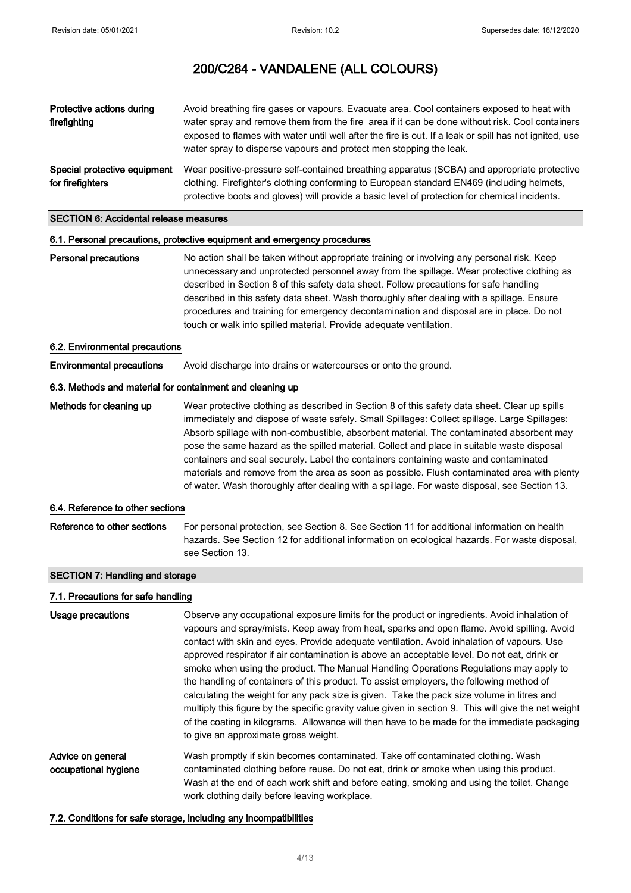| Protective actions during<br>firefighting        | Avoid breathing fire gases or vapours. Evacuate area. Cool containers exposed to heat with<br>water spray and remove them from the fire area if it can be done without risk. Cool containers<br>exposed to flames with water until well after the fire is out. If a leak or spill has not ignited, use<br>water spray to disperse vapours and protect men stopping the leak. |
|--------------------------------------------------|------------------------------------------------------------------------------------------------------------------------------------------------------------------------------------------------------------------------------------------------------------------------------------------------------------------------------------------------------------------------------|
| Special protective equipment<br>for firefighters | Wear positive-pressure self-contained breathing apparatus (SCBA) and appropriate protective<br>clothing. Firefighter's clothing conforming to European standard EN469 (including helmets,<br>protective boots and gloves) will provide a basic level of protection for chemical incidents.                                                                                   |

#### SECTION 6: Accidental release measures

#### 6.1. Personal precautions, protective equipment and emergency procedures

Personal precautions No action shall be taken without appropriate training or involving any personal risk. Keep unnecessary and unprotected personnel away from the spillage. Wear protective clothing as described in Section 8 of this safety data sheet. Follow precautions for safe handling described in this safety data sheet. Wash thoroughly after dealing with a spillage. Ensure procedures and training for emergency decontamination and disposal are in place. Do not touch or walk into spilled material. Provide adequate ventilation.

#### 6.2. Environmental precautions

Environmental precautions Avoid discharge into drains or watercourses or onto the ground.

## 6.3. Methods and material for containment and cleaning up

Methods for cleaning up Wear protective clothing as described in Section 8 of this safety data sheet. Clear up spills immediately and dispose of waste safely. Small Spillages: Collect spillage. Large Spillages: Absorb spillage with non-combustible, absorbent material. The contaminated absorbent may pose the same hazard as the spilled material. Collect and place in suitable waste disposal containers and seal securely. Label the containers containing waste and contaminated materials and remove from the area as soon as possible. Flush contaminated area with plenty of water. Wash thoroughly after dealing with a spillage. For waste disposal, see Section 13.

#### 6.4. Reference to other sections

Reference to other sections For personal protection, see Section 8. See Section 11 for additional information on health hazards. See Section 12 for additional information on ecological hazards. For waste disposal, see Section 13.

# SECTION 7: Handling and storage

#### 7.1. Precautions for safe handling

| Usage precautions                         | Observe any occupational exposure limits for the product or ingredients. Avoid inhalation of<br>vapours and spray/mists. Keep away from heat, sparks and open flame. Avoid spilling. Avoid<br>contact with skin and eyes. Provide adequate ventilation. Avoid inhalation of vapours. Use<br>approved respirator if air contamination is above an acceptable level. Do not eat, drink or<br>smoke when using the product. The Manual Handling Operations Regulations may apply to<br>the handling of containers of this product. To assist employers, the following method of<br>calculating the weight for any pack size is given. Take the pack size volume in litres and<br>multiply this figure by the specific gravity value given in section 9. This will give the net weight<br>of the coating in kilograms. Allowance will then have to be made for the immediate packaging<br>to give an approximate gross weight. |
|-------------------------------------------|----------------------------------------------------------------------------------------------------------------------------------------------------------------------------------------------------------------------------------------------------------------------------------------------------------------------------------------------------------------------------------------------------------------------------------------------------------------------------------------------------------------------------------------------------------------------------------------------------------------------------------------------------------------------------------------------------------------------------------------------------------------------------------------------------------------------------------------------------------------------------------------------------------------------------|
| Advice on general<br>occupational hygiene | Wash promptly if skin becomes contaminated. Take off contaminated clothing. Wash<br>contaminated clothing before reuse. Do not eat, drink or smoke when using this product.<br>Wash at the end of each work shift and before eating, smoking and using the toilet. Change<br>work clothing daily before leaving workplace.                                                                                                                                                                                                                                                                                                                                                                                                                                                                                                                                                                                                 |

#### 7.2. Conditions for safe storage, including any incompatibilities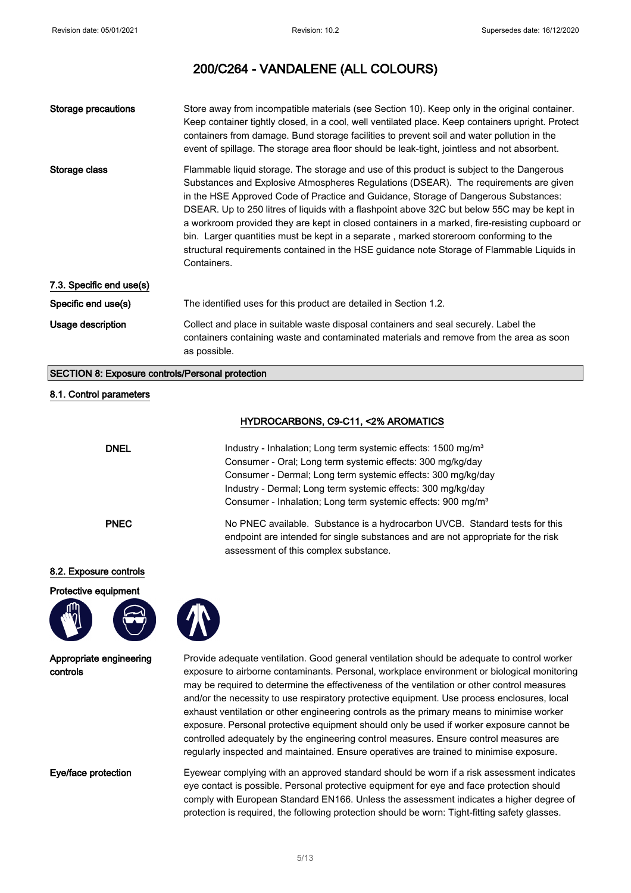| Storage precautions      | Store away from incompatible materials (see Section 10). Keep only in the original container.<br>Keep container tightly closed, in a cool, well ventilated place. Keep containers upright. Protect<br>containers from damage. Bund storage facilities to prevent soil and water pollution in the<br>event of spillage. The storage area floor should be leak-tight, jointless and not absorbent.                                                                                                                                                                                                                                                                                |
|--------------------------|---------------------------------------------------------------------------------------------------------------------------------------------------------------------------------------------------------------------------------------------------------------------------------------------------------------------------------------------------------------------------------------------------------------------------------------------------------------------------------------------------------------------------------------------------------------------------------------------------------------------------------------------------------------------------------|
| Storage class            | Flammable liquid storage. The storage and use of this product is subject to the Dangerous<br>Substances and Explosive Atmospheres Regulations (DSEAR). The requirements are given<br>in the HSE Approved Code of Practice and Guidance, Storage of Dangerous Substances:<br>DSEAR. Up to 250 litres of liquids with a flashpoint above 32C but below 55C may be kept in<br>a workroom provided they are kept in closed containers in a marked, fire-resisting cupboard or<br>bin. Larger quantities must be kept in a separate, marked storeroom conforming to the<br>structural requirements contained in the HSE guidance note Storage of Flammable Liquids in<br>Containers. |
| 7.3. Specific end use(s) |                                                                                                                                                                                                                                                                                                                                                                                                                                                                                                                                                                                                                                                                                 |
| Specific end use(s)      | The identified uses for this product are detailed in Section 1.2.                                                                                                                                                                                                                                                                                                                                                                                                                                                                                                                                                                                                               |
| Usage description        | Collect and place in suitable waste disposal containers and seal securely. Label the<br>containers containing waste and contaminated materials and remove from the area as soon<br>as possible.                                                                                                                                                                                                                                                                                                                                                                                                                                                                                 |

#### SECTION 8: Exposure controls/Personal protection

#### 8.1. Control parameters

## HYDROCARBONS, C9-C11, <2% AROMATICS

| <b>DNEL</b> | Industry - Inhalation; Long term systemic effects: 1500 mg/m <sup>3</sup><br>Consumer - Oral; Long term systemic effects: 300 mg/kg/day<br>Consumer - Dermal; Long term systemic effects: 300 mg/kg/day<br>Industry - Dermal; Long term systemic effects: 300 mg/kg/day<br>Consumer - Inhalation; Long term systemic effects: 900 mg/m <sup>3</sup> |
|-------------|-----------------------------------------------------------------------------------------------------------------------------------------------------------------------------------------------------------------------------------------------------------------------------------------------------------------------------------------------------|
| <b>PNEC</b> | No PNEC available. Substance is a hydrocarbon UVCB. Standard tests for this<br>endpoint are intended for single substances and are not appropriate for the risk<br>assessment of this complex substance.                                                                                                                                            |

## 8.2. Exposure controls





Appropriate engineering controls

Provide adequate ventilation. Good general ventilation should be adequate to control worker exposure to airborne contaminants. Personal, workplace environment or biological monitoring may be required to determine the effectiveness of the ventilation or other control measures and/or the necessity to use respiratory protective equipment. Use process enclosures, local exhaust ventilation or other engineering controls as the primary means to minimise worker exposure. Personal protective equipment should only be used if worker exposure cannot be controlled adequately by the engineering control measures. Ensure control measures are regularly inspected and maintained. Ensure operatives are trained to minimise exposure.

Eye/face protection Eyewear complying with an approved standard should be worn if a risk assessment indicates eye contact is possible. Personal protective equipment for eye and face protection should comply with European Standard EN166. Unless the assessment indicates a higher degree of protection is required, the following protection should be worn: Tight-fitting safety glasses.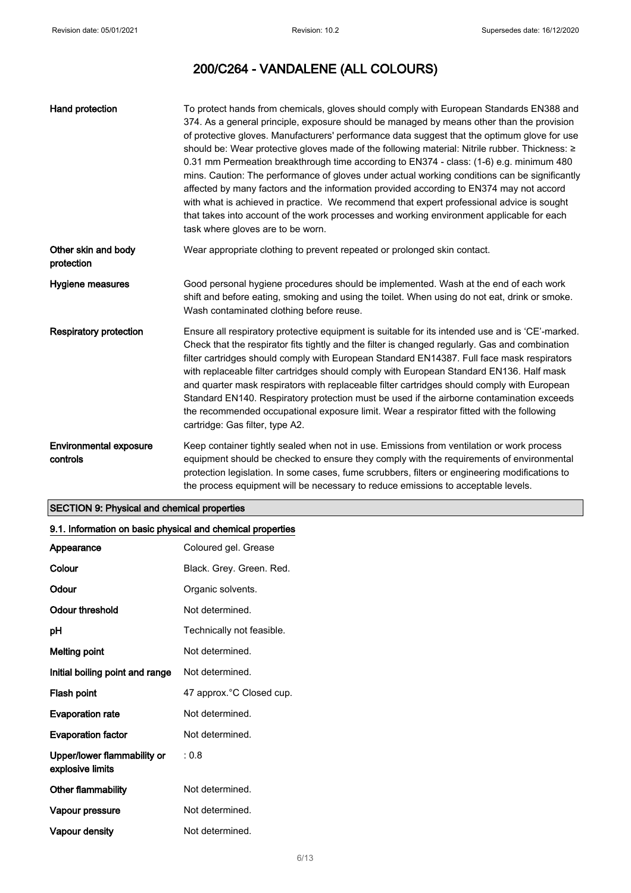| Hand protection                           | To protect hands from chemicals, gloves should comply with European Standards EN388 and<br>374. As a general principle, exposure should be managed by means other than the provision<br>of protective gloves. Manufacturers' performance data suggest that the optimum glove for use<br>should be: Wear protective gloves made of the following material: Nitrile rubber. Thickness: ≥<br>0.31 mm Permeation breakthrough time according to EN374 - class: (1-6) e.g. minimum 480<br>mins. Caution: The performance of gloves under actual working conditions can be significantly<br>affected by many factors and the information provided according to EN374 may not accord<br>with what is achieved in practice. We recommend that expert professional advice is sought<br>that takes into account of the work processes and working environment applicable for each<br>task where gloves are to be worn. |
|-------------------------------------------|--------------------------------------------------------------------------------------------------------------------------------------------------------------------------------------------------------------------------------------------------------------------------------------------------------------------------------------------------------------------------------------------------------------------------------------------------------------------------------------------------------------------------------------------------------------------------------------------------------------------------------------------------------------------------------------------------------------------------------------------------------------------------------------------------------------------------------------------------------------------------------------------------------------|
| Other skin and body<br>protection         | Wear appropriate clothing to prevent repeated or prolonged skin contact.                                                                                                                                                                                                                                                                                                                                                                                                                                                                                                                                                                                                                                                                                                                                                                                                                                     |
| Hygiene measures                          | Good personal hygiene procedures should be implemented. Wash at the end of each work<br>shift and before eating, smoking and using the toilet. When using do not eat, drink or smoke.<br>Wash contaminated clothing before reuse.                                                                                                                                                                                                                                                                                                                                                                                                                                                                                                                                                                                                                                                                            |
| <b>Respiratory protection</b>             | Ensure all respiratory protective equipment is suitable for its intended use and is 'CE'-marked.<br>Check that the respirator fits tightly and the filter is changed regularly. Gas and combination<br>filter cartridges should comply with European Standard EN14387. Full face mask respirators<br>with replaceable filter cartridges should comply with European Standard EN136. Half mask<br>and quarter mask respirators with replaceable filter cartridges should comply with European<br>Standard EN140. Respiratory protection must be used if the airborne contamination exceeds<br>the recommended occupational exposure limit. Wear a respirator fitted with the following<br>cartridge: Gas filter, type A2.                                                                                                                                                                                     |
| <b>Environmental exposure</b><br>controls | Keep container tightly sealed when not in use. Emissions from ventilation or work process<br>equipment should be checked to ensure they comply with the requirements of environmental<br>protection legislation. In some cases, fume scrubbers, filters or engineering modifications to<br>the process equipment will be necessary to reduce emissions to acceptable levels.                                                                                                                                                                                                                                                                                                                                                                                                                                                                                                                                 |

# SECTION 9: Physical and chemical properties

# 9.1. Information on basic physical and chemical properties

| Appearance                                      | Coloured gel. Grease      |
|-------------------------------------------------|---------------------------|
| Colour                                          | Black. Grey. Green. Red.  |
| Odour                                           | Organic solvents.         |
| Odour threshold                                 | Not determined.           |
| рH                                              | Technically not feasible. |
| <b>Melting point</b>                            | Not determined.           |
| Initial boiling point and range                 | Not determined.           |
| Flash point                                     | 47 approx.°C Closed cup.  |
| <b>Evaporation rate</b>                         | Not determined.           |
| <b>Evaporation factor</b>                       | Not determined.           |
| Upper/lower flammability or<br>explosive limits | : 0.8                     |
| <b>Other flammability</b>                       | Not determined.           |
| Vapour pressure                                 | Not determined.           |
| Vapour density                                  | Not determined.           |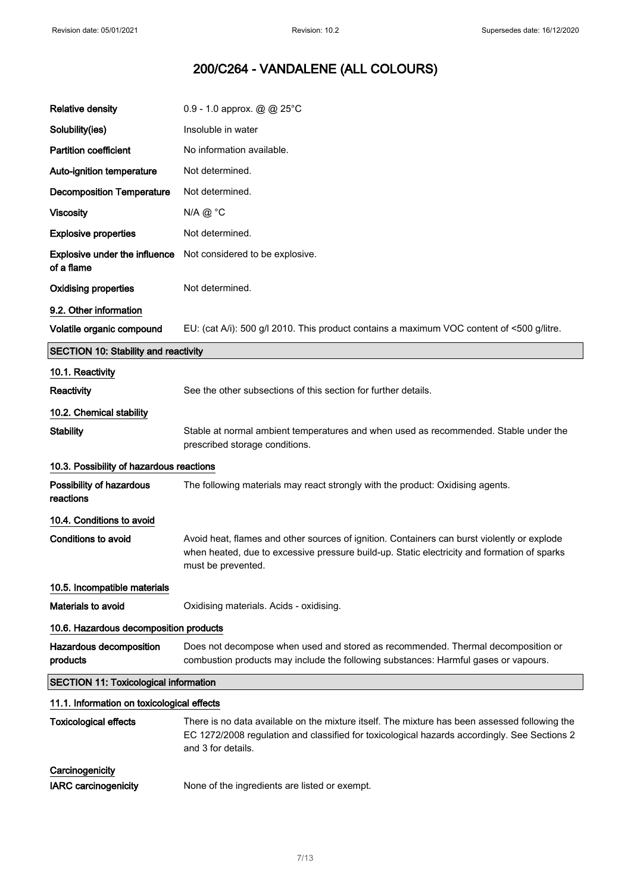$\overline{\phantom{a}}$ 

# 200/C264 - VANDALENE (ALL COLOURS)

| <b>Relative density</b>                            | 0.9 - 1.0 approx. $@@25^{\circ}C$                                                                                                                                                                                   |
|----------------------------------------------------|---------------------------------------------------------------------------------------------------------------------------------------------------------------------------------------------------------------------|
| Solubility(ies)                                    | Insoluble in water                                                                                                                                                                                                  |
| <b>Partition coefficient</b>                       | No information available.                                                                                                                                                                                           |
| Auto-ignition temperature                          | Not determined.                                                                                                                                                                                                     |
| <b>Decomposition Temperature</b>                   | Not determined.                                                                                                                                                                                                     |
| <b>Viscosity</b>                                   | $N/A @ ^{\circ}C$                                                                                                                                                                                                   |
| <b>Explosive properties</b>                        | Not determined.                                                                                                                                                                                                     |
| <b>Explosive under the influence</b><br>of a flame | Not considered to be explosive.                                                                                                                                                                                     |
| <b>Oxidising properties</b>                        | Not determined.                                                                                                                                                                                                     |
| 9.2. Other information                             |                                                                                                                                                                                                                     |
| Volatile organic compound                          | EU: (cat A/i): 500 g/l 2010. This product contains a maximum VOC content of <500 g/litre.                                                                                                                           |
| <b>SECTION 10: Stability and reactivity</b>        |                                                                                                                                                                                                                     |
| 10.1. Reactivity                                   |                                                                                                                                                                                                                     |
| <b>Reactivity</b>                                  | See the other subsections of this section for further details.                                                                                                                                                      |
| 10.2. Chemical stability                           |                                                                                                                                                                                                                     |
| <b>Stability</b>                                   | Stable at normal ambient temperatures and when used as recommended. Stable under the<br>prescribed storage conditions.                                                                                              |
|                                                    |                                                                                                                                                                                                                     |
| 10.3. Possibility of hazardous reactions           |                                                                                                                                                                                                                     |
| Possibility of hazardous<br>reactions              | The following materials may react strongly with the product: Oxidising agents.                                                                                                                                      |
| 10.4. Conditions to avoid                          |                                                                                                                                                                                                                     |
| <b>Conditions to avoid</b>                         | Avoid heat, flames and other sources of ignition. Containers can burst violently or explode<br>when heated, due to excessive pressure build-up. Static electricity and formation of sparks<br>must be prevented.    |
| 10.5. Incompatible materials                       |                                                                                                                                                                                                                     |
| Materials to avoid                                 | Oxidising materials. Acids - oxidising.                                                                                                                                                                             |
| 10.6. Hazardous decomposition products             |                                                                                                                                                                                                                     |
| Hazardous decomposition<br>products                | Does not decompose when used and stored as recommended. Thermal decomposition or<br>combustion products may include the following substances: Harmful gases or vapours.                                             |
| <b>SECTION 11: Toxicological information</b>       |                                                                                                                                                                                                                     |
| 11.1. Information on toxicological effects         |                                                                                                                                                                                                                     |
| <b>Toxicological effects</b>                       | There is no data available on the mixture itself. The mixture has been assessed following the<br>EC 1272/2008 regulation and classified for toxicological hazards accordingly. See Sections 2<br>and 3 for details. |
| Carcinogenicity<br>IARC carcinogenicity            |                                                                                                                                                                                                                     |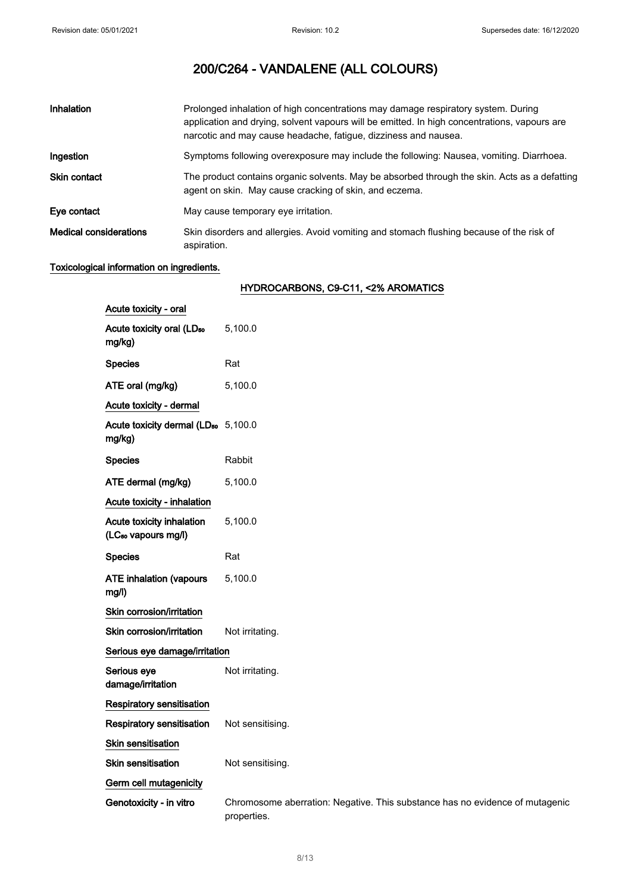| Inhalation                    | Prolonged inhalation of high concentrations may damage respiratory system. During<br>application and drying, solvent vapours will be emitted. In high concentrations, vapours are<br>narcotic and may cause headache, fatique, dizziness and nausea. |
|-------------------------------|------------------------------------------------------------------------------------------------------------------------------------------------------------------------------------------------------------------------------------------------------|
| Ingestion                     | Symptoms following overexposure may include the following: Nausea, vomiting. Diarrhoea.                                                                                                                                                              |
| <b>Skin contact</b>           | The product contains organic solvents. May be absorbed through the skin. Acts as a defatting<br>agent on skin. May cause cracking of skin, and eczema.                                                                                               |
| Eye contact                   | May cause temporary eye irritation.                                                                                                                                                                                                                  |
| <b>Medical considerations</b> | Skin disorders and allergies. Avoid vomiting and stomach flushing because of the risk of<br>aspiration.                                                                                                                                              |

# Toxicological information on ingredients.

# HYDROCARBONS, C9-C11, <2% AROMATICS

| Acute toxicity - oral                                        |                                                                                             |
|--------------------------------------------------------------|---------------------------------------------------------------------------------------------|
| Acute toxicity oral (LD <sub>50</sub><br>mg/kg)              | 5,100.0                                                                                     |
| <b>Species</b>                                               | Rat                                                                                         |
| ATE oral (mg/kg)                                             | 5,100.0                                                                                     |
| Acute toxicity - dermal                                      |                                                                                             |
| Acute toxicity dermal (LD <sub>50</sub> 5,100.0<br>mg/kg)    |                                                                                             |
| <b>Species</b>                                               | Rabbit                                                                                      |
| ATE dermal (mg/kg)                                           | 5,100.0                                                                                     |
| Acute toxicity - inhalation                                  |                                                                                             |
| Acute toxicity inhalation<br>(LC <sub>50</sub> vapours mg/l) | 5,100.0                                                                                     |
| <b>Species</b>                                               | Rat                                                                                         |
| <b>ATE inhalation (vapours</b><br>mg/l)                      | 5,100.0                                                                                     |
| Skin corrosion/irritation                                    |                                                                                             |
| Skin corrosion/irritation                                    | Not irritating.                                                                             |
| Serious eye damage/irritation                                |                                                                                             |
| Serious eye<br>damage/irritation                             | Not irritating.                                                                             |
| Respiratory sensitisation                                    |                                                                                             |
| <b>Respiratory sensitisation</b>                             | Not sensitising.                                                                            |
| Skin sensitisation                                           |                                                                                             |
| Skin sensitisation                                           | Not sensitising.                                                                            |
| Germ cell mutagenicity                                       |                                                                                             |
| Genotoxicity - in vitro                                      | Chromosome aberration: Negative. This substance has no evidence of mutagenic<br>properties. |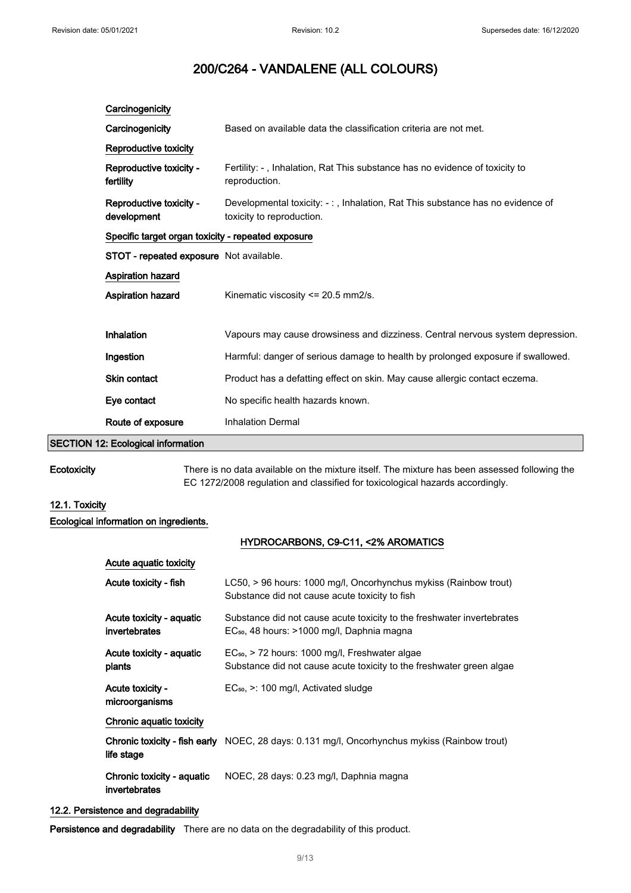| Carcinogenicity                                    |                                                                                                            |
|----------------------------------------------------|------------------------------------------------------------------------------------------------------------|
| Carcinogenicity                                    | Based on available data the classification criteria are not met.                                           |
| Reproductive toxicity                              |                                                                                                            |
| Reproductive toxicity -<br>fertility               | Fertility: -, Inhalation, Rat This substance has no evidence of toxicity to<br>reproduction.               |
| Reproductive toxicity -<br>development             | Developmental toxicity: -:, Inhalation, Rat This substance has no evidence of<br>toxicity to reproduction. |
| Specific target organ toxicity - repeated exposure |                                                                                                            |
| STOT - repeated exposure Not available.            |                                                                                                            |
| <b>Aspiration hazard</b>                           |                                                                                                            |
| Aspiration hazard                                  | Kinematic viscosity <= 20.5 mm2/s.                                                                         |
| Inhalation                                         | Vapours may cause drowsiness and dizziness. Central nervous system depression.                             |
| Ingestion                                          | Harmful: danger of serious damage to health by prolonged exposure if swallowed.                            |
| Skin contact                                       | Product has a defatting effect on skin. May cause allergic contact eczema.                                 |
| Eye contact                                        | No specific health hazards known.                                                                          |
| Route of exposure                                  | <b>Inhalation Dermal</b>                                                                                   |
| <b>SECTION 12: Ecological information</b>          |                                                                                                            |

Ecotoxicity There is no data available on the mixture itself. The mixture has been assessed following the EC 1272/2008 regulation and classified for toxicological hazards accordingly.

# 12.1. Toxicity

# Ecological information on ingredients.

# HYDROCARBONS, C9-C11, <2% AROMATICS

| Acute aguatic toxicity                      |                                                                                                                                  |
|---------------------------------------------|----------------------------------------------------------------------------------------------------------------------------------|
| Acute toxicity - fish                       | LC50, > 96 hours: 1000 mg/l, Oncorhynchus mykiss (Rainbow trout)<br>Substance did not cause acute toxicity to fish               |
| Acute toxicity - aquatic<br>invertebrates   | Substance did not cause acute toxicity to the freshwater invertebrates<br>EC <sub>50</sub> , 48 hours: >1000 mg/l, Daphnia magna |
| Acute toxicity - aquatic<br>plants          | $EC_{50}$ , > 72 hours: 1000 mg/l, Freshwater algae<br>Substance did not cause acute toxicity to the freshwater green algae      |
| Acute toxicity -<br>microorganisms          | $EC_{50}$ , $\geq$ : 100 mg/l, Activated sludge                                                                                  |
| Chronic aquatic toxicity                    |                                                                                                                                  |
| life stage                                  | <b>Chronic toxicity - fish early</b> NOEC, 28 days: 0.131 mg/l, Oncorhynchus mykiss (Rainbow trout)                              |
| Chronic toxicity - aquatic<br>invertebrates | NOEC, 28 days: 0.23 mg/l, Daphnia magna                                                                                          |

# 12.2. Persistence and degradability

Persistence and degradability There are no data on the degradability of this product.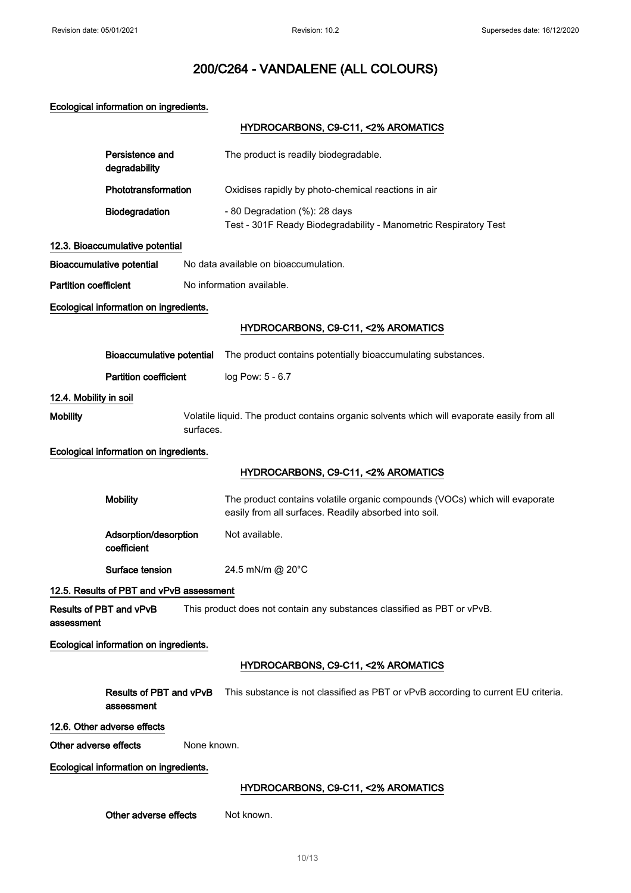Ecological information on ingredients.

# HYDROCARBONS, C9-C11, <2% AROMATICS

|                              | Persistence and<br>degradability         |             | The product is readily biodegradable.                                                                                                |
|------------------------------|------------------------------------------|-------------|--------------------------------------------------------------------------------------------------------------------------------------|
|                              | Phototransformation                      |             | Oxidises rapidly by photo-chemical reactions in air                                                                                  |
|                              | Biodegradation                           |             | - 80 Degradation (%): 28 days<br>Test - 301F Ready Biodegradability - Manometric Respiratory Test                                    |
|                              | 12.3. Bioaccumulative potential          |             |                                                                                                                                      |
|                              | <b>Bioaccumulative potential</b>         |             | No data available on bioaccumulation.                                                                                                |
| <b>Partition coefficient</b> |                                          |             | No information available.                                                                                                            |
|                              | Ecological information on ingredients.   |             |                                                                                                                                      |
|                              |                                          |             | HYDROCARBONS, C9-C11, <2% AROMATICS                                                                                                  |
|                              | <b>Bioaccumulative potential</b>         |             | The product contains potentially bioaccumulating substances.                                                                         |
|                              | <b>Partition coefficient</b>             |             | log Pow: 5 - 6.7                                                                                                                     |
| 12.4. Mobility in soil       |                                          |             |                                                                                                                                      |
| <b>Mobility</b>              |                                          | surfaces.   | Volatile liquid. The product contains organic solvents which will evaporate easily from all                                          |
|                              | Ecological information on ingredients.   |             |                                                                                                                                      |
|                              |                                          |             | HYDROCARBONS, C9-C11, <2% AROMATICS                                                                                                  |
|                              |                                          |             |                                                                                                                                      |
|                              | <b>Mobility</b>                          |             | The product contains volatile organic compounds (VOCs) which will evaporate<br>easily from all surfaces. Readily absorbed into soil. |
|                              | Adsorption/desorption<br>coefficient     |             | Not available.                                                                                                                       |
|                              | Surface tension                          |             | 24.5 mN/m @ 20°C                                                                                                                     |
|                              | 12.5. Results of PBT and vPvB assessment |             |                                                                                                                                      |
| assessment                   | Results of PBT and vPvB                  |             | This product does not contain any substances classified as PBT or vPvB.                                                              |
|                              | Ecological information on ingredients.   |             |                                                                                                                                      |
|                              |                                          |             | HYDROCARBONS, C9-C11, <2% AROMATICS                                                                                                  |
|                              | Results of PBT and vPvB<br>assessment    |             | This substance is not classified as PBT or vPvB according to current EU criteria.                                                    |
|                              | 12.6. Other adverse effects              |             |                                                                                                                                      |
| Other adverse effects        |                                          | None known. |                                                                                                                                      |
|                              | Ecological information on ingredients.   |             |                                                                                                                                      |
|                              |                                          |             | HYDROCARBONS, C9-C11, <2% AROMATICS                                                                                                  |
|                              | Other adverse effects                    |             | Not known.                                                                                                                           |
|                              |                                          |             |                                                                                                                                      |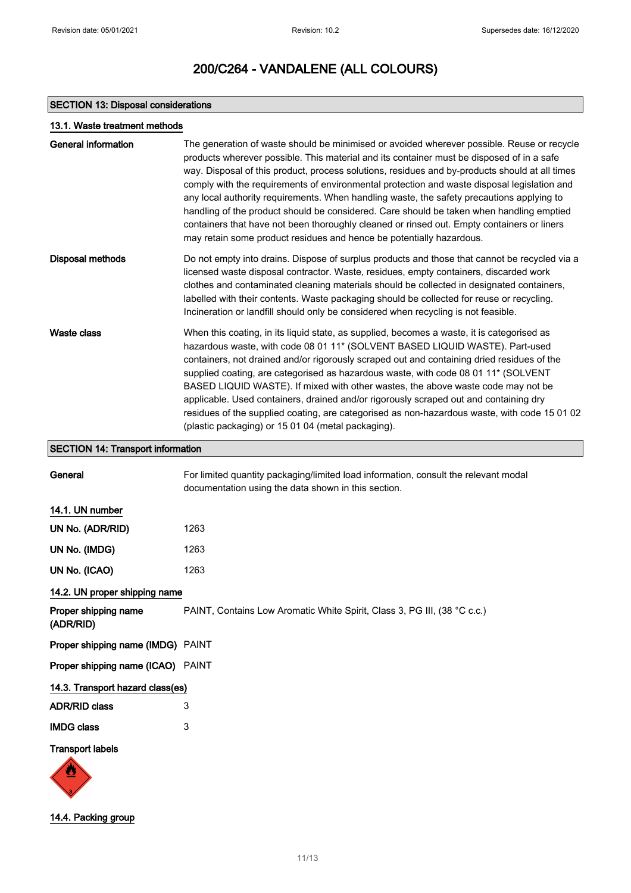# SECTION 13: Disposal considerations

| 13.1. Waste treatment methods            |                                                                                                                                                                                                                                                                                                                                                                                                                                                                                                                                                                                                                                                                                                                                                         |
|------------------------------------------|---------------------------------------------------------------------------------------------------------------------------------------------------------------------------------------------------------------------------------------------------------------------------------------------------------------------------------------------------------------------------------------------------------------------------------------------------------------------------------------------------------------------------------------------------------------------------------------------------------------------------------------------------------------------------------------------------------------------------------------------------------|
| <b>General information</b>               | The generation of waste should be minimised or avoided wherever possible. Reuse or recycle<br>products wherever possible. This material and its container must be disposed of in a safe<br>way. Disposal of this product, process solutions, residues and by-products should at all times<br>comply with the requirements of environmental protection and waste disposal legislation and<br>any local authority requirements. When handling waste, the safety precautions applying to<br>handling of the product should be considered. Care should be taken when handling emptied<br>containers that have not been thoroughly cleaned or rinsed out. Empty containers or liners<br>may retain some product residues and hence be potentially hazardous. |
| <b>Disposal methods</b>                  | Do not empty into drains. Dispose of surplus products and those that cannot be recycled via a<br>licensed waste disposal contractor. Waste, residues, empty containers, discarded work<br>clothes and contaminated cleaning materials should be collected in designated containers,<br>labelled with their contents. Waste packaging should be collected for reuse or recycling.<br>Incineration or landfill should only be considered when recycling is not feasible.                                                                                                                                                                                                                                                                                  |
| <b>Waste class</b>                       | When this coating, in its liquid state, as supplied, becomes a waste, it is categorised as<br>hazardous waste, with code 08 01 11* (SOLVENT BASED LIQUID WASTE). Part-used<br>containers, not drained and/or rigorously scraped out and containing dried residues of the<br>supplied coating, are categorised as hazardous waste, with code 08 01 11* (SOLVENT<br>BASED LIQUID WASTE). If mixed with other wastes, the above waste code may not be<br>applicable. Used containers, drained and/or rigorously scraped out and containing dry<br>residues of the supplied coating, are categorised as non-hazardous waste, with code 15 01 02<br>(plastic packaging) or 15 01 04 (metal packaging).                                                       |
| <b>SECTION 14: Transport information</b> |                                                                                                                                                                                                                                                                                                                                                                                                                                                                                                                                                                                                                                                                                                                                                         |
| General                                  | For limited quantity packaging/limited load information, consult the relevant modal<br>documentation using the data shown in this section.                                                                                                                                                                                                                                                                                                                                                                                                                                                                                                                                                                                                              |
| 14.1. UN number                          |                                                                                                                                                                                                                                                                                                                                                                                                                                                                                                                                                                                                                                                                                                                                                         |
| UN No. (ADR/RID)                         | 1263                                                                                                                                                                                                                                                                                                                                                                                                                                                                                                                                                                                                                                                                                                                                                    |
| UN No. (IMDG)                            | 1263                                                                                                                                                                                                                                                                                                                                                                                                                                                                                                                                                                                                                                                                                                                                                    |
| UN No. (ICAO)                            | 1263                                                                                                                                                                                                                                                                                                                                                                                                                                                                                                                                                                                                                                                                                                                                                    |
| 14.2. UN proper shipping name            |                                                                                                                                                                                                                                                                                                                                                                                                                                                                                                                                                                                                                                                                                                                                                         |
| Proper shipping name<br>(ADR/RID)        | PAINT, Contains Low Aromatic White Spirit, Class 3, PG III, (38 °C c.c.)                                                                                                                                                                                                                                                                                                                                                                                                                                                                                                                                                                                                                                                                                |
| Proper shipping name (IMDG) PAINT        |                                                                                                                                                                                                                                                                                                                                                                                                                                                                                                                                                                                                                                                                                                                                                         |
| Proper shipping name (ICAO) PAINT        |                                                                                                                                                                                                                                                                                                                                                                                                                                                                                                                                                                                                                                                                                                                                                         |
| 14.3. Transport hazard class(es)         |                                                                                                                                                                                                                                                                                                                                                                                                                                                                                                                                                                                                                                                                                                                                                         |
| <b>ADR/RID class</b>                     | 3                                                                                                                                                                                                                                                                                                                                                                                                                                                                                                                                                                                                                                                                                                                                                       |
| <b>IMDG class</b>                        | 3                                                                                                                                                                                                                                                                                                                                                                                                                                                                                                                                                                                                                                                                                                                                                       |
| <b>Transport labels</b>                  |                                                                                                                                                                                                                                                                                                                                                                                                                                                                                                                                                                                                                                                                                                                                                         |
|                                          |                                                                                                                                                                                                                                                                                                                                                                                                                                                                                                                                                                                                                                                                                                                                                         |



 $\sqrt{3}$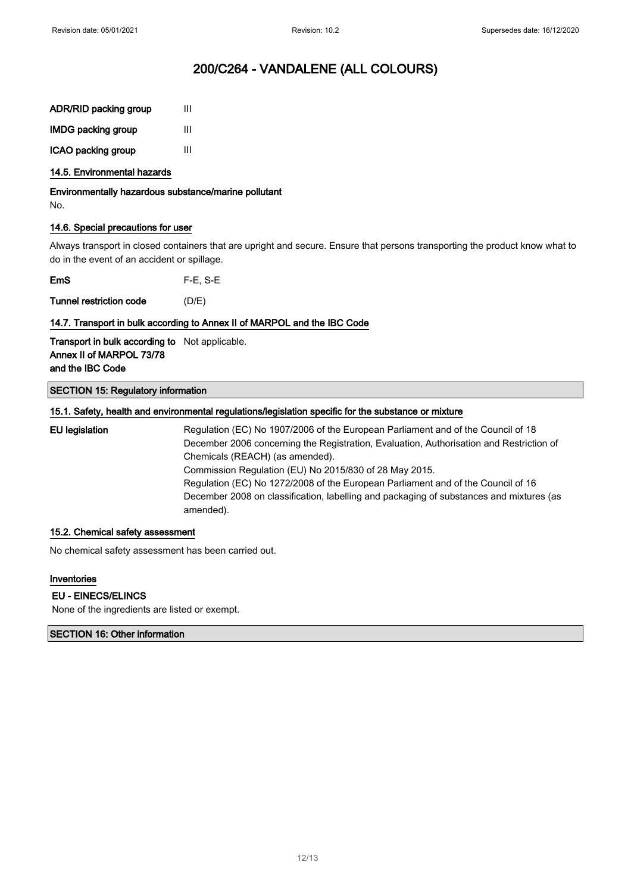| <b>ADR/RID packing group</b> | Ш |
|------------------------------|---|
| <b>IMDG packing group</b>    | Ш |
| ICAO packing group           | Ш |

#### 14.5. Environmental hazards

Environmentally hazardous substance/marine pollutant No.

## 14.6. Special precautions for user

Always transport in closed containers that are upright and secure. Ensure that persons transporting the product know what to do in the event of an accident or spillage.

EmS F-E, S-E

Tunnel restriction code (D/E)

## 14.7. Transport in bulk according to Annex II of MARPOL and the IBC Code

Transport in bulk according to Not applicable. Annex II of MARPOL 73/78 and the IBC Code

## SECTION 15: Regulatory information

## 15.1. Safety, health and environmental regulations/legislation specific for the substance or mixture

EU legislation Regulation (EC) No 1907/2006 of the European Parliament and of the Council of 18 December 2006 concerning the Registration, Evaluation, Authorisation and Restriction of Chemicals (REACH) (as amended). Commission Regulation (EU) No 2015/830 of 28 May 2015. Regulation (EC) No 1272/2008 of the European Parliament and of the Council of 16 December 2008 on classification, labelling and packaging of substances and mixtures (as amended).

## 15.2. Chemical safety assessment

No chemical safety assessment has been carried out.

#### Inventories

#### EU - EINECS/ELINCS

None of the ingredients are listed or exempt.

#### SECTION 16: Other information